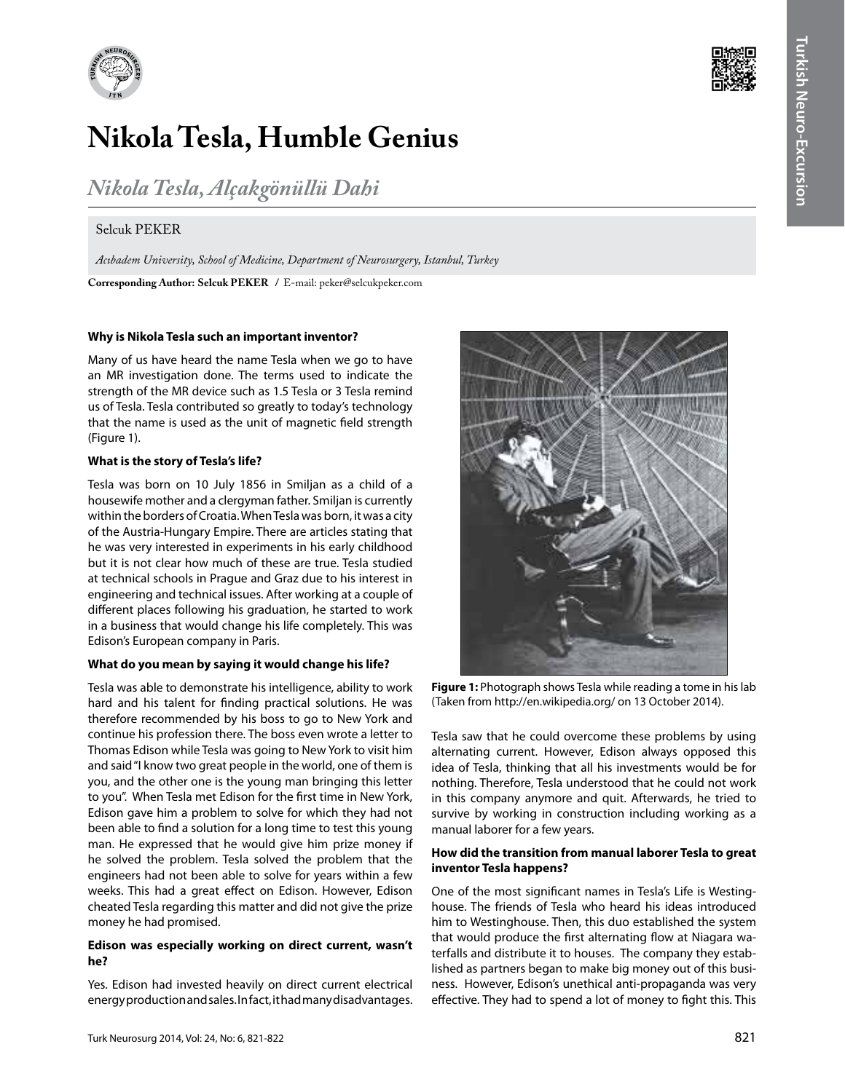

# **Nikola Tesla, Humble Genius**

*Nikola Tesla, Alçakgönüllü Dahi*

## Selcuk PEKER

**Corresponding Author: Selcuk Peker /** E-mail: peker@selcukpeker.com *Acıbadem University, School of Medicine, Department of Neurosurgery, Istanbul, Turkey*

#### **Why is Nikola Tesla such an important inventor?**

Many of us have heard the name Tesla when we go to have an MR investigation done. The terms used to indicate the strength of the MR device such as 1.5 Tesla or 3 Tesla remind us of Tesla. Tesla contributed so greatly to today's technology that the name is used as the unit of magnetic field strength (Figure 1).

#### **What is the story of Tesla's life?**

Tesla was born on 10 July 1856 in Smiljan as a child of a housewife mother and a clergyman father. Smiljan is currently within the borders of Croatia. When Tesla was born, it was a city of the Austria-Hungary Empire. There are articles stating that he was very interested in experiments in his early childhood but it is not clear how much of these are true. Tesla studied at technical schools in Prague and Graz due to his interest in engineering and technical issues. After working at a couple of different places following his graduation, he started to work in a business that would change his life completely. This was Edison's European company in Paris.

#### **What do you mean by saying it would change his life?**

Tesla was able to demonstrate his intelligence, ability to work hard and his talent for finding practical solutions. He was therefore recommended by his boss to go to New York and continue his profession there. The boss even wrote a letter to Thomas Edison while Tesla was going to New York to visit him and said "I know two great people in the world, one of them is you, and the other one is the young man bringing this letter to you". When Tesla met Edison for the first time in New York, Edison gave him a problem to solve for which they had not been able to find a solution for a long time to test this young man. He expressed that he would give him prize money if he solved the problem. Tesla solved the problem that the engineers had not been able to solve for years within a few weeks. This had a great effect on Edison. However, Edison cheated Tesla regarding this matter and did not give the prize money he had promised.

## **Edison was especially working on direct current, wasn't he?**

Yes. Edison had invested heavily on direct current electrical energy production and sales. In fact, it had many disadvantages.



**Figure 1:** Photograph shows Tesla while reading a tome in his lab (Taken from http://en.wikipedia.org/ on 13 October 2014).

Tesla saw that he could overcome these problems by using alternating current. However, Edison always opposed this idea of Tesla, thinking that all his investments would be for nothing. Therefore, Tesla understood that he could not work in this company anymore and quit. Afterwards, he tried to survive by working in construction including working as a manual laborer for a few years.

## **How did the transition from manual laborer Tesla to great inventor Tesla happens?**

One of the most significant names in Tesla's Life is Westinghouse. The friends of Tesla who heard his ideas introduced him to Westinghouse. Then, this duo established the system that would produce the first alternating flow at Niagara waterfalls and distribute it to houses. The company they established as partners began to make big money out of this business. However, Edison's unethical anti-propaganda was very effective. They had to spend a lot of money to fight this. This